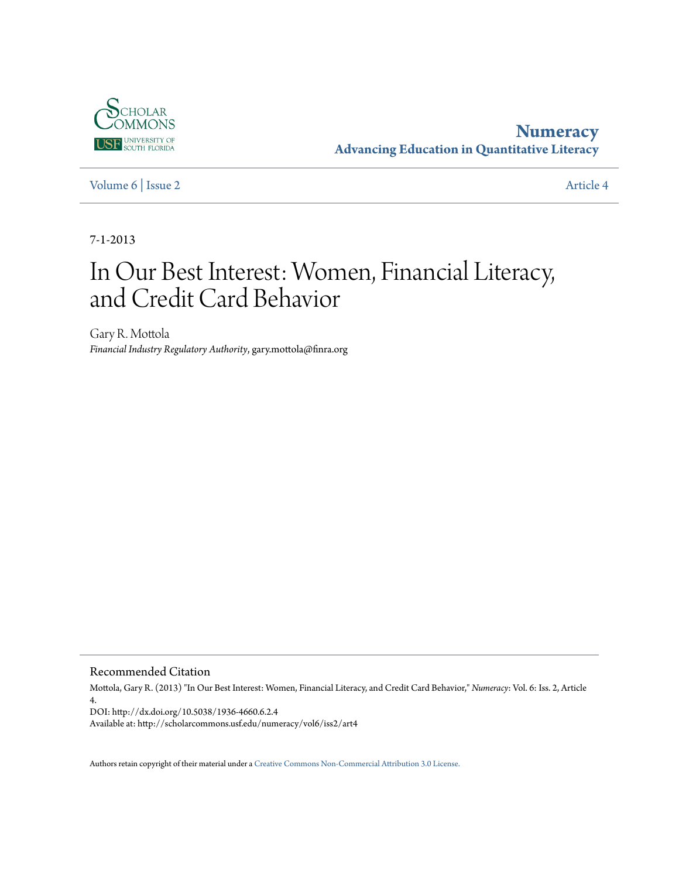

**[Numeracy](http://scholarcommons.usf.edu/numeracy) Advancing Education in Quantitative Literacy**

[Volume 6](http://scholarcommons.usf.edu/numeracy/vol6) | [Issue 2](http://scholarcommons.usf.edu/numeracy/vol6/iss2) [Article 4](http://scholarcommons.usf.edu/numeracy/vol6/iss2/art4)

7-1-2013

# In Our Best Interest: Women, Financial Literacy, and Credit Card Behavior

Gary R. Mottola *Financial Industry Regulatory Authority*, gary.mottola@finra.org

Recommended Citation

Mottola, Gary R. (2013) "In Our Best Interest: Women, Financial Literacy, and Credit Card Behavior," *Numeracy*: Vol. 6: Iss. 2, Article 4. DOI: http://dx.doi.org/10.5038/1936-4660.6.2.4

Available at: http://scholarcommons.usf.edu/numeracy/vol6/iss2/art4

Authors retain copyright of their material under a [Creative Commons Non-Commercial Attribution 3.0 License.](http://creativecommons.org/licenses/by-nc/3.0/)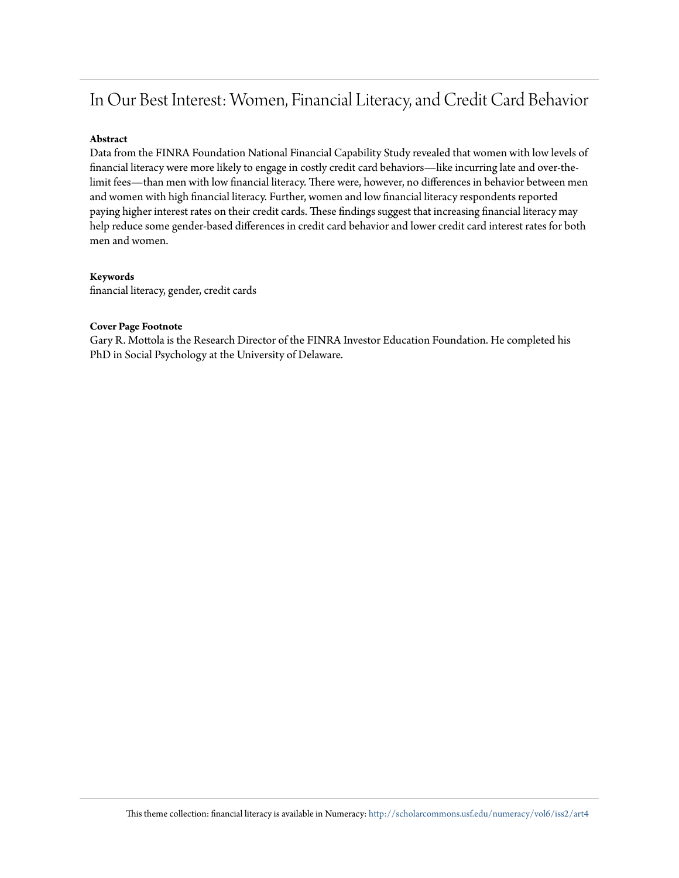# In Our Best Interest: Women, Financial Literacy, and Credit Card Behavior

#### **Abstract**

Data from the FINRA Foundation National Financial Capability Study revealed that women with low levels of financial literacy were more likely to engage in costly credit card behaviors—like incurring late and over-thelimit fees—than men with low financial literacy. There were, however, no differences in behavior between men and women with high financial literacy. Further, women and low financial literacy respondents reported paying higher interest rates on their credit cards. These findings suggest that increasing financial literacy may help reduce some gender-based differences in credit card behavior and lower credit card interest rates for both men and women.

#### **Keywords**

financial literacy, gender, credit cards

#### **Cover Page Footnote**

Gary R. Mottola is the Research Director of the FINRA Investor Education Foundation. He completed his PhD in Social Psychology at the University of Delaware.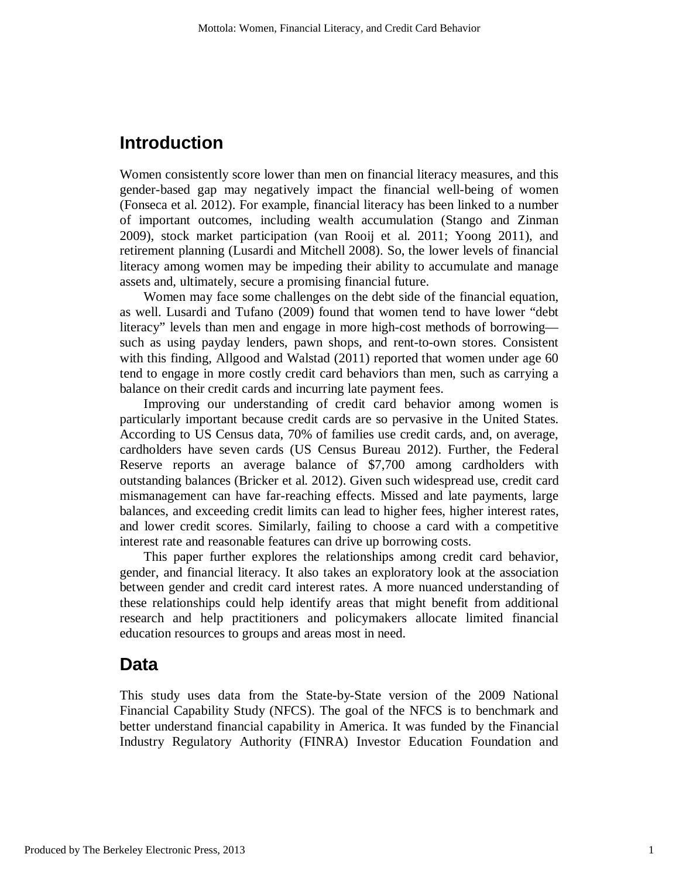### **Introduction**

Women consistently score lower than men on financial literacy measures, and this gender-based gap may negatively impact the financial well-being of women (Fonseca et al. 2012). For example, financial literacy has been linked to a number of important outcomes, including wealth accumulation (Stango and Zinman 2009), stock market participation (van Rooij et al. 2011; Yoong 2011), and retirement planning (Lusardi and Mitchell 2008). So, the lower levels of financial literacy among women may be impeding their ability to accumulate and manage assets and, ultimately, secure a promising financial future.

Women may face some challenges on the debt side of the financial equation, as well. Lusardi and Tufano (2009) found that women tend to have lower "debt literacy" levels than men and engage in more high-cost methods of borrowing such as using payday lenders, pawn shops, and rent-to-own stores. Consistent with this finding, Allgood and Walstad (2011) reported that women under age 60 tend to engage in more costly credit card behaviors than men, such as carrying a balance on their credit cards and incurring late payment fees.

Improving our understanding of credit card behavior among women is particularly important because credit cards are so pervasive in the United States. According to US Census data, 70% of families use credit cards, and, on average, cardholders have seven cards (US Census Bureau 2012). Further, the Federal Reserve reports an average balance of \$7,700 among cardholders with outstanding balances (Bricker et al. 2012). Given such widespread use, credit card mismanagement can have far-reaching effects. Missed and late payments, large balances, and exceeding credit limits can lead to higher fees, higher interest rates, and lower credit scores. Similarly, failing to choose a card with a competitive interest rate and reasonable features can drive up borrowing costs.

This paper further explores the relationships among credit card behavior, gender, and financial literacy. It also takes an exploratory look at the association between gender and credit card interest rates. A more nuanced understanding of these relationships could help identify areas that might benefit from additional research and help practitioners and policymakers allocate limited financial education resources to groups and areas most in need.

### **Data**

This study uses data from the State-by-State version of the 2009 National Financial Capability Study (NFCS). The goal of the NFCS is to benchmark and better understand financial capability in America. It was funded by the Financial Industry Regulatory Authority (FINRA) Investor Education Foundation and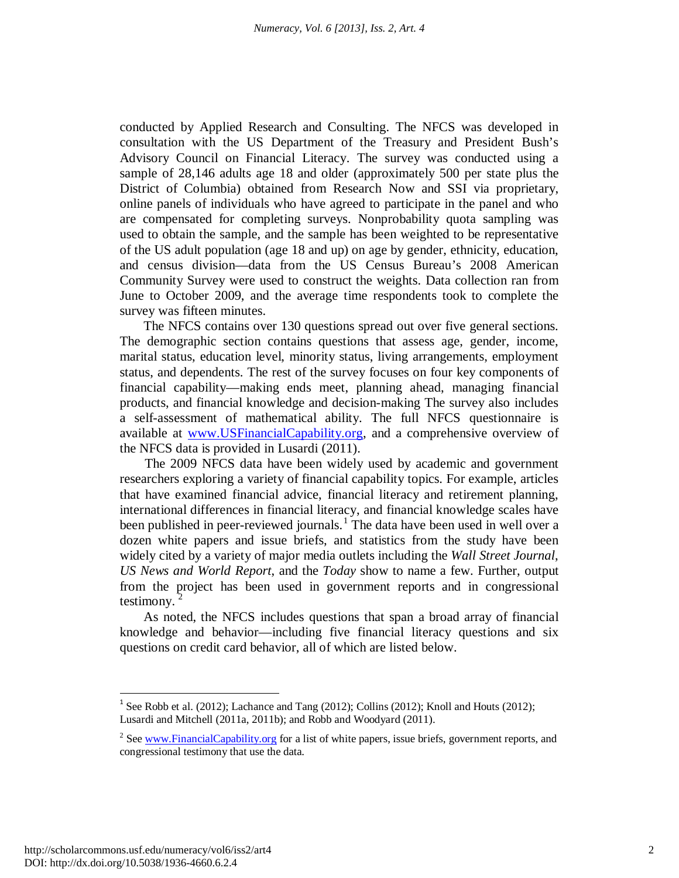conducted by Applied Research and Consulting. The NFCS was developed in consultation with the US Department of the Treasury and President Bush's Advisory Council on Financial Literacy. The survey was conducted using a sample of 28,146 adults age 18 and older (approximately 500 per state plus the District of Columbia) obtained from Research Now and SSI via proprietary, online panels of individuals who have agreed to participate in the panel and who are compensated for completing surveys. Nonprobability quota sampling was used to obtain the sample, and the sample has been weighted to be representative of the US adult population (age 18 and up) on age by gender, ethnicity, education, and census division—data from the US Census Bureau's 2008 American Community Survey were used to construct the weights. Data collection ran from June to October 2009, and the average time respondents took to complete the survey was fifteen minutes.

The NFCS contains over 130 questions spread out over five general sections. The demographic section contains questions that assess age, gender, income, marital status, education level, minority status, living arrangements, employment status, and dependents. The rest of the survey focuses on four key components of financial capability—making ends meet, planning ahead, managing financial products, and financial knowledge and decision-making The survey also includes a self-assessment of mathematical ability. The full NFCS questionnaire is available at [www.USFinancialCapability.org,](http://www.usfinancialcapability.org/) and a comprehensive overview of the NFCS data is provided in Lusardi (2011).

The 2009 NFCS data have been widely used by academic and government researchers exploring a variety of financial capability topics. For example, articles that have examined financial advice, financial literacy and retirement planning, international differences in financial literacy, and financial knowledge scales have been published in peer-reviewed journals.<sup>[1](#page-3-0)</sup> The data have been used in well over a dozen white papers and issue briefs, and statistics from the study have been widely cited by a variety of major media outlets including the *Wall Street Journal*, *US News and World Report*, and the *Today* show to name a few. Further, output from the project has been used in government reports and in congressional testimony.

As noted, the NFCS includes questions that span a broad array of financial knowledge and behavior—including five financial literacy questions and six questions on credit card behavior, all of which are listed below.

<span id="page-3-0"></span><sup>&</sup>lt;sup>1</sup> See Robb et al. (2012); Lachance and Tang (2012); Collins (2012); Knoll and Houts (2012); Lusardi and Mitchell (2011a, 2011b); and Robb and Woodyard (2011).

<span id="page-3-1"></span><sup>&</sup>lt;sup>2</sup> Se[e www.FinancialCapability.org](http://www.financialcapability.org/) for a list of white papers, issue briefs, government reports, and congressional testimony that use the data.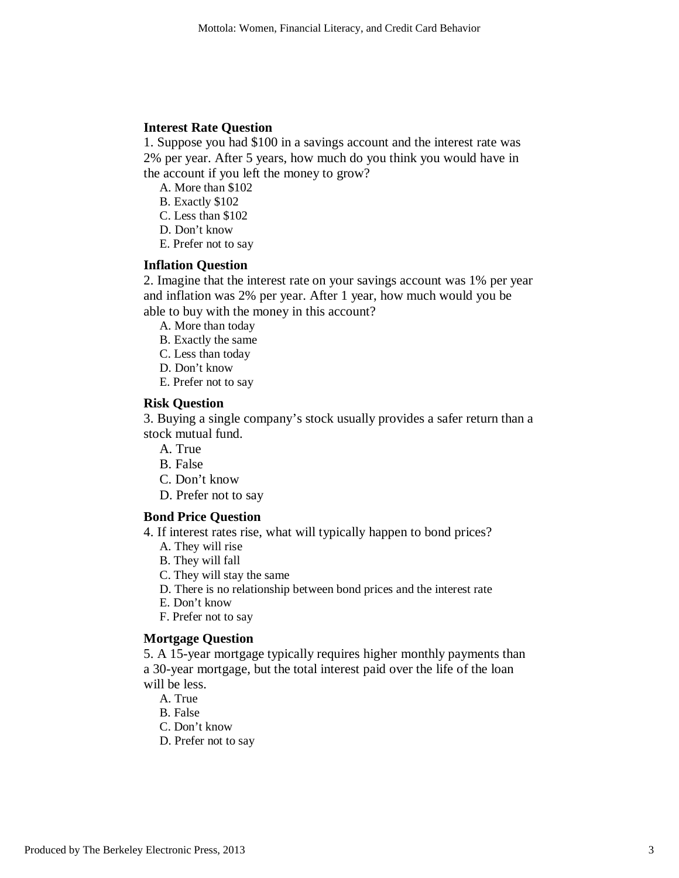#### **Interest Rate Question**

1. Suppose you had \$100 in a savings account and the interest rate was 2% per year. After 5 years, how much do you think you would have in the account if you left the money to grow?

A. More than \$102

B. Exactly \$102

C. Less than \$102

D. Don't know

E. Prefer not to say

#### **Inflation Question**

2. Imagine that the interest rate on your savings account was 1% per year and inflation was 2% per year. After 1 year, how much would you be able to buy with the money in this account?

A. More than today

B. Exactly the same

C. Less than today

D. Don't know

E. Prefer not to say

#### **Risk Question**

3. Buying a single company's stock usually provides a safer return than a stock mutual fund.

A. True

B. False

C. Don't know

D. Prefer not to say

#### **Bond Price Question**

4. If interest rates rise, what will typically happen to bond prices?

A. They will rise

B. They will fall

C. They will stay the same

D. There is no relationship between bond prices and the interest rate

E. Don't know

F. Prefer not to say

#### **Mortgage Question**

5. A 15-year mortgage typically requires higher monthly payments than a 30-year mortgage, but the total interest paid over the life of the loan will be less.

A. True

B. False

C. Don't know

D. Prefer not to say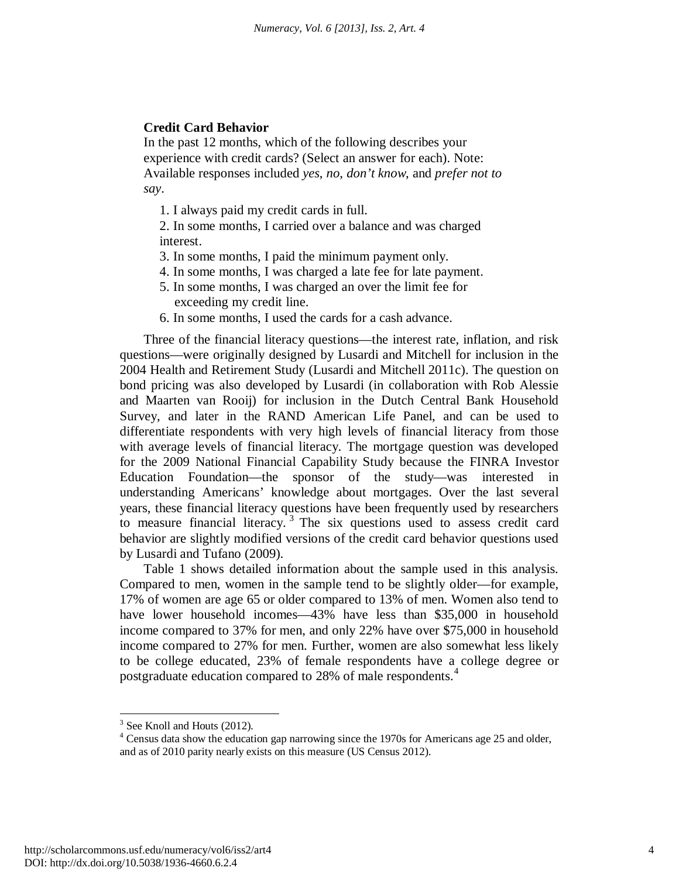#### **Credit Card Behavior**

In the past 12 months, which of the following describes your experience with credit cards? (Select an answer for each). Note: Available responses included *yes*, *no*, *don't know*, and *prefer not to say*.

1. I always paid my credit cards in full.

2. In some months, I carried over a balance and was charged interest.

- 3. In some months, I paid the minimum payment only.
- 4. In some months, I was charged a late fee for late payment.
- 5. In some months, I was charged an over the limit fee for exceeding my credit line.
- 6. In some months, I used the cards for a cash advance.

Three of the financial literacy questions—the interest rate, inflation, and risk questions—were originally designed by Lusardi and Mitchell for inclusion in the 2004 Health and Retirement Study (Lusardi and Mitchell 2011c). The question on bond pricing was also developed by Lusardi (in collaboration with Rob Alessie and Maarten van Rooij) for inclusion in the Dutch Central Bank Household Survey, and later in the RAND American Life Panel, and can be used to differentiate respondents with very high levels of financial literacy from those with average levels of financial literacy. The mortgage question was developed for the 2009 National Financial Capability Study because the FINRA Investor Education Foundation—the sponsor of the study—was interested in understanding Americans' knowledge about mortgages. Over the last several years, these financial literacy questions have been frequently used by researchers to measure financial literacy.<sup>[3](#page-5-0)</sup> The six questions used to assess credit card behavior are slightly modified versions of the credit card behavior questions used by Lusardi and Tufano (2009).

Table 1 shows detailed information about the sample used in this analysis. Compared to men, women in the sample tend to be slightly older—for example, 17% of women are age 65 or older compared to 13% of men. Women also tend to have lower household incomes—43% have less than \$35,000 in household income compared to 37% for men, and only 22% have over \$75,000 in household income compared to 27% for men. Further, women are also somewhat less likely to be college educated, 23% of female respondents have a college degree or postgraduate education compared to 28% of male respondents.<sup>[4](#page-5-1)</sup>

 $3$  See Knoll and Houts (2012).

<span id="page-5-1"></span><span id="page-5-0"></span><sup>&</sup>lt;sup>4</sup> Census data show the education gap narrowing since the 1970s for Americans age 25 and older, and as of 2010 parity nearly exists on this measure (US Census 2012).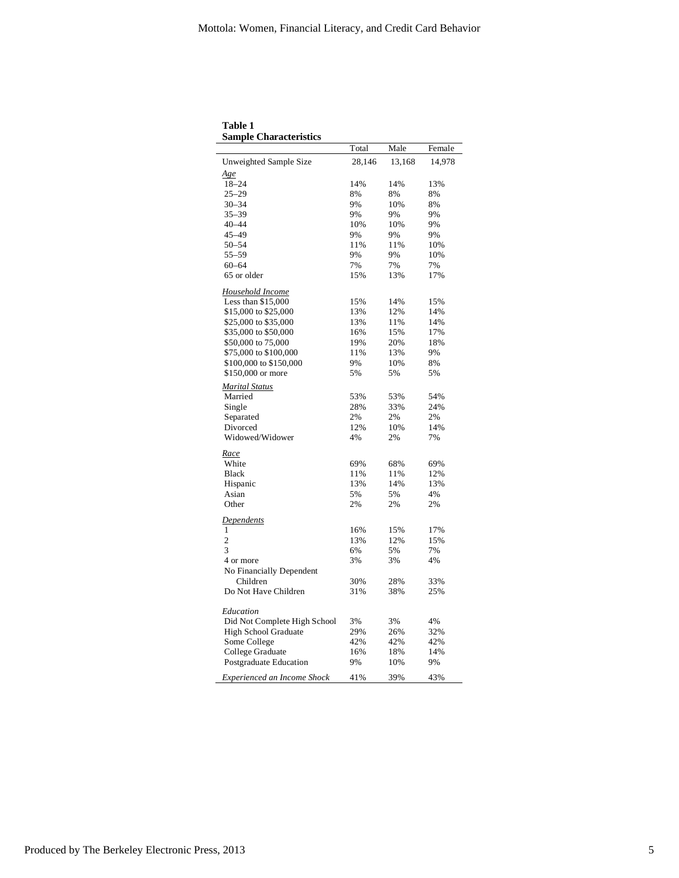| sampit Unai atiti isiits     | Total  | Male   | Female |
|------------------------------|--------|--------|--------|
| Unweighted Sample Size       | 28,146 | 13,168 | 14,978 |
| <u>Age</u>                   |        |        |        |
| $18 - 24$                    | 14%    | 14%    | 13%    |
| $25 - 29$                    | 8%     | 8%     | 8%     |
| $30 - 34$                    | 9%     | 10%    | 8%     |
| $35 - 39$                    | 9%     | 9%     | 9%     |
| $40 - 44$                    | 10%    | 10%    | 9%     |
| $45 - 49$                    | 9%     | 9%     | 9%     |
| $50 - 54$                    | 11%    | 11%    | 10%    |
| $55 - 59$                    | 9%     | 9%     | 10%    |
| $60 - 64$                    | 7%     | 7%     | 7%     |
| 65 or older                  | 15%    | 13%    | 17%    |
| Household Income             |        |        |        |
| Less than \$15,000           | 15%    | 14%    | 15%    |
| \$15,000 to \$25,000         | 13%    | 12%    | 14%    |
| \$25,000 to \$35,000         | 13%    | 11%    | 14%    |
| \$35,000 to \$50,000         | 16%    | 15%    | 17%    |
| \$50,000 to 75,000           | 19%    | 20%    | 18%    |
| \$75,000 to \$100,000        | 11%    | 13%    | 9%     |
| \$100,000 to \$150,000       | 9%     | 10%    | 8%     |
| \$150,000 or more            | 5%     | 5%     | 5%     |
| <b>Marital Status</b>        |        |        |        |
| Married                      | 53%    | 53%    | 54%    |
| Single                       | 28%    | 33%    | 24%    |
| Separated                    | 2%     | 2%     | 2%     |
| Divorced                     | 12%    | 10%    | 14%    |
| Widowed/Widower              | 4%     | 2%     | 7%     |
| Race                         |        |        |        |
| White                        | 69%    | 68%    | 69%    |
| <b>Black</b>                 | 11%    | 11%    | 12%    |
| Hispanic                     | 13%    | 14%    | 13%    |
| Asian                        | 5%     | 5%     | 4%     |
| Other                        | 2%     | 2%     | 2%     |
| <b>Dependents</b>            |        |        |        |
| 1                            | 16%    | 15%    | 17%    |
| $\overline{c}$               | 13%    | 12%    | 15%    |
| 3                            | 6%     | 5%     | 7%     |
| 4 or more                    | 3%     | 3%     | 4%     |
| No Financially Dependent     |        |        |        |
| Children                     | 30%    | 28%    | 33%    |
| Do Not Have Children         | 31%    | 38%    | 25%    |
|                              |        |        |        |
| Education                    |        |        |        |
| Did Not Complete High School | 3%     | 3%     | 4%     |
| <b>High School Graduate</b>  | 29%    | 26%    | 32%    |
| Some College                 | 42%    | 42%    | 42%    |
| College Graduate             | 16%    | 18%    | 14%    |
| Postgraduate Education       | 9%     | 10%    | 9%     |
| Experienced an Income Shock  | 41%    | 39%    | 43%    |

**Table 1 Sample Characteristics**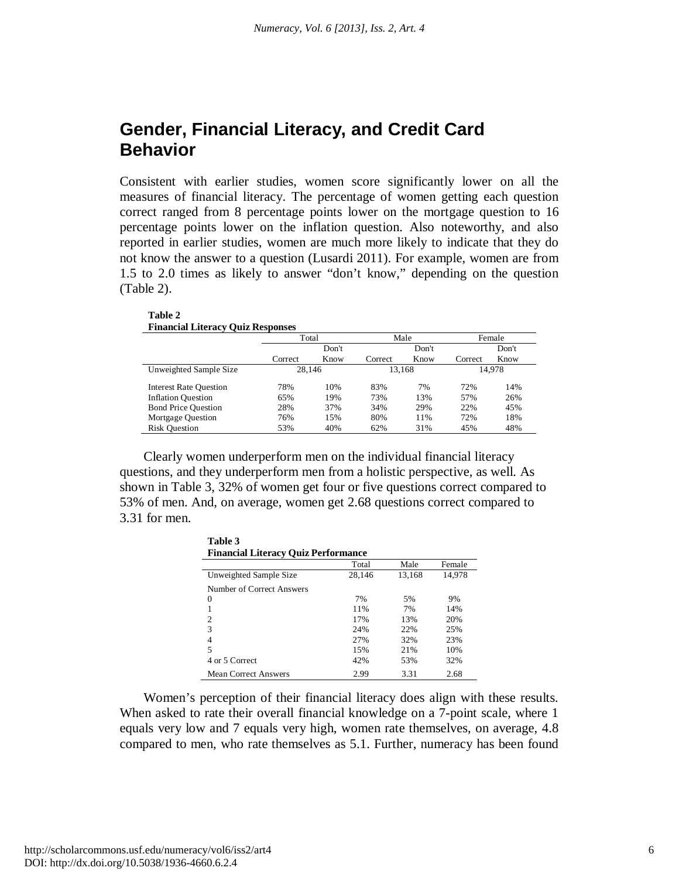## **Gender, Financial Literacy, and Credit Card Behavior**

Consistent with earlier studies, women score significantly lower on all the measures of financial literacy. The percentage of women getting each question correct ranged from 8 percentage points lower on the mortgage question to 16 percentage points lower on the inflation question. Also noteworthy, and also reported in earlier studies, women are much more likely to indicate that they do not know the answer to a question (Lusardi 2011). For example, women are from 1.5 to 2.0 times as likely to answer "don't know," depending on the question (Table 2).

| <b>Financial Literacy Quiz Responses</b> |         |       |         |       |         |        |
|------------------------------------------|---------|-------|---------|-------|---------|--------|
|                                          | Total   |       |         | Male  |         | Female |
|                                          |         | Don't |         | Don't |         | Don't  |
|                                          | Correct | Know  | Correct | Know  | Correct | Know   |
| Unweighted Sample Size                   | 28.146  |       | 13.168  |       |         | 14.978 |
| <b>Interest Rate Ouestion</b>            | 78%     | 10%   | 83%     | 7%    | 72%     | 14%    |
| <b>Inflation Question</b>                | 65%     | 19%   | 73%     | 13%   | 57%     | 26%    |
| <b>Bond Price Question</b>               | 28%     | 37%   | 34%     | 29%   | 22%     | 45%    |
| Mortgage Question                        | 76%     | 15%   | 80%     | 11%   | 72%     | 18%    |
| <b>Risk Ouestion</b>                     | 53%     | 40%   | 62%     | 31%   | 45%     | 48%    |

Clearly women underperform men on the individual financial literacy questions, and they underperform men from a holistic perspective, as well. As shown in Table 3, 32% of women get four or five questions correct compared to 53% of men. And, on average, women get 2.68 questions correct compared to 3.31 for men.

| Table 3                                    |        |        |        |  |
|--------------------------------------------|--------|--------|--------|--|
| <b>Financial Literacy Quiz Performance</b> |        |        |        |  |
|                                            | Total  | Male   | Female |  |
| Unweighted Sample Size                     | 28,146 | 13,168 | 14,978 |  |
| Number of Correct Answers                  |        |        |        |  |
| $\Omega$                                   | 7%     | 5%     | 9%     |  |
|                                            | 11%    | 7%     | 14%    |  |
| 2                                          | 17%    | 13%    | 20%    |  |
| 3                                          | 24%    | 22%    | 25%    |  |
| $\overline{4}$                             | 27%    | 32%    | 23%    |  |
| 5                                          | 15%    | 21%    | 10%    |  |
| 4 or 5 Correct                             | 42%    | 53%    | 32%    |  |
| <b>Mean Correct Answers</b>                | 2.99   | 3.31   | 2.68   |  |

Women's perception of their financial literacy does align with these results. When asked to rate their overall financial knowledge on a 7-point scale, where 1 equals very low and 7 equals very high, women rate themselves, on average, 4.8 compared to men, who rate themselves as 5.1. Further, numeracy has been found

**Table 2**

**Table 3**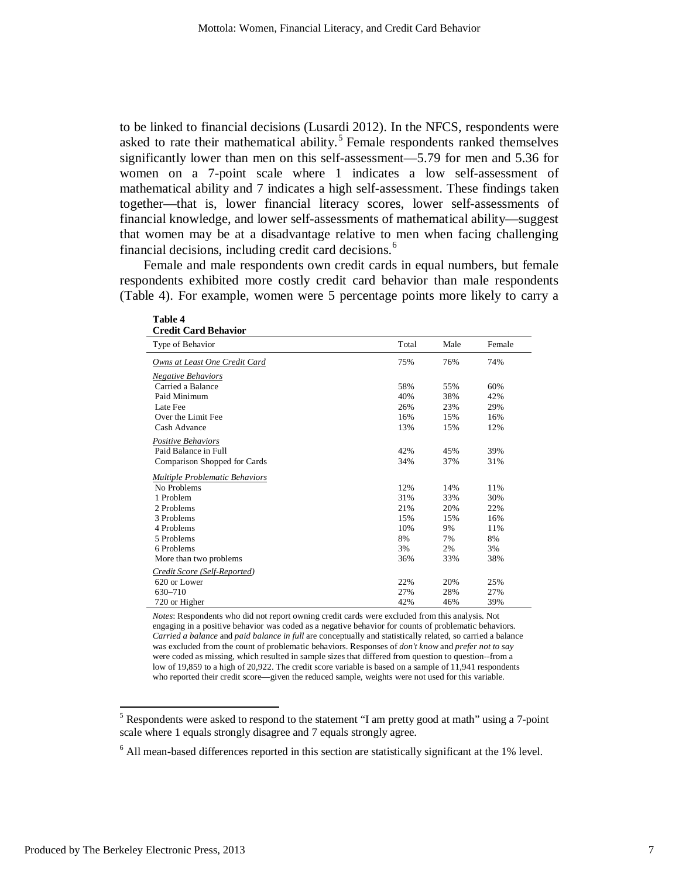to be linked to financial decisions (Lusardi 2012). In the NFCS, respondents were asked to rate their mathematical ability.<sup>[5](#page-8-0)</sup> Female respondents ranked themselves significantly lower than men on this self-assessment—5.79 for men and 5.36 for women on a 7-point scale where 1 indicates a low self-assessment of mathematical ability and 7 indicates a high self-assessment. These findings taken together—that is, lower financial literacy scores, lower self-assessments of financial knowledge, and lower self-assessments of mathematical ability—suggest that women may be at a disadvantage relative to men when facing challenging financial decisions, including credit card decisions. $<sup>6</sup>$  $<sup>6</sup>$  $<sup>6</sup>$ </sup>

Female and male respondents own credit cards in equal numbers, but female respondents exhibited more costly credit card behavior than male respondents (Table 4). For example, women were 5 percentage points more likely to carry a

| Credit Card Behavior                  |       |      |        |  |
|---------------------------------------|-------|------|--------|--|
| Type of Behavior                      | Total | Male | Female |  |
| Owns at Least One Credit Card         | 75%   | 76%  | 74%    |  |
| <b>Negative Behaviors</b>             |       |      |        |  |
| Carried a Balance                     | 58%   | 55%  | 60%    |  |
| Paid Minimum                          | 40%   | 38%  | 42%    |  |
| Late Fee                              | 26%   | 23%  | 29%    |  |
| Over the Limit Fee                    | 16%   | 15%  | 16%    |  |
| Cash Advance                          | 13%   | 15%  | 12%    |  |
| Positive Behaviors                    |       |      |        |  |
| Paid Balance in Full                  | 42%   | 45%  | 39%    |  |
| Comparison Shopped for Cards          | 34%   | 37%  | 31%    |  |
| <b>Multiple Problematic Behaviors</b> |       |      |        |  |
| No Problems                           | 12%   | 14%  | 11%    |  |
| 1 Problem                             | 31%   | 33%  | 30%    |  |
| 2 Problems                            | 21%   | 20%  | 22%    |  |
| 3 Problems                            | 15%   | 15%  | 16%    |  |
| 4 Problems                            | 10%   | 9%   | 11%    |  |
| 5 Problems                            | 8%    | 7%   | 8%     |  |
| 6 Problems                            | 3%    | 2%   | 3%     |  |
| More than two problems                | 36%   | 33%  | 38%    |  |
| Credit Score (Self-Reported)          |       |      |        |  |
| 620 or Lower                          | 22%   | 20%  | 25%    |  |
| 630-710                               | 27%   | 28%  | 27%    |  |
| 720 or Higher                         | 42%   | 46%  | 39%    |  |

| <b>Table 4</b>              |  |
|-----------------------------|--|
| <b>Credit Card Behavior</b> |  |

*Notes*: Respondents who did not report owning credit cards were excluded from this analysis. Not engaging in a positive behavior was coded as a negative behavior for counts of problematic behaviors. *Carried a balance* and *paid balance in full* are conceptually and statistically related, so carried a balance was excluded from the count of problematic behaviors. Responses of *don't know* and *prefer not to say* were coded as missing, which resulted in sample sizes that differed from question to question--from a low of 19,859 to a high of 20,922. The credit score variable is based on a sample of 11,941 respondents who reported their credit score—given the reduced sample, weights were not used for this variable.

<span id="page-8-0"></span><sup>&</sup>lt;sup>5</sup> Respondents were asked to respond to the statement "I am pretty good at math" using a 7-point scale where 1 equals strongly disagree and 7 equals strongly agree.

<span id="page-8-1"></span><sup>6</sup> All mean-based differences reported in this section are statistically significant at the 1% level.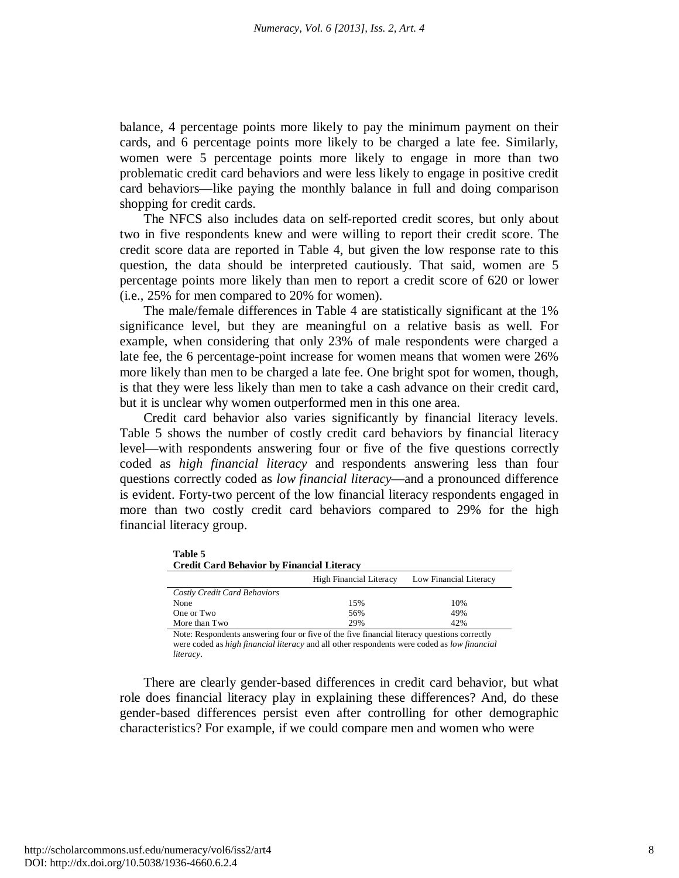balance, 4 percentage points more likely to pay the minimum payment on their cards, and 6 percentage points more likely to be charged a late fee. Similarly, women were 5 percentage points more likely to engage in more than two problematic credit card behaviors and were less likely to engage in positive credit card behaviors—like paying the monthly balance in full and doing comparison shopping for credit cards.

The NFCS also includes data on self-reported credit scores, but only about two in five respondents knew and were willing to report their credit score. The credit score data are reported in Table 4, but given the low response rate to this question, the data should be interpreted cautiously. That said, women are 5 percentage points more likely than men to report a credit score of 620 or lower (i.e., 25% for men compared to 20% for women).

The male/female differences in Table 4 are statistically significant at the 1% significance level, but they are meaningful on a relative basis as well. For example, when considering that only 23% of male respondents were charged a late fee, the 6 percentage-point increase for women means that women were 26% more likely than men to be charged a late fee. One bright spot for women, though, is that they were less likely than men to take a cash advance on their credit card, but it is unclear why women outperformed men in this one area.

Credit card behavior also varies significantly by financial literacy levels. Table 5 shows the number of costly credit card behaviors by financial literacy level—with respondents answering four or five of the five questions correctly coded as *high financial literacy* and respondents answering less than four questions correctly coded as *low financial literacy*—and a pronounced difference is evident. Forty-two percent of the low financial literacy respondents engaged in more than two costly credit card behaviors compared to 29% for the high financial literacy group.

| <b>Table 5</b><br><b>Credit Card Behavior by Financial Literacy</b> |                                |                        |  |  |
|---------------------------------------------------------------------|--------------------------------|------------------------|--|--|
|                                                                     | <b>High Financial Literacy</b> | Low Financial Literacy |  |  |
| Costly Credit Card Behaviors                                        |                                |                        |  |  |
| None                                                                | 15%                            | 10%                    |  |  |
| One or Two                                                          | 56%                            | 49%                    |  |  |
| More than Two                                                       | 29%                            | 42%                    |  |  |

Note: Respondents answering four or five of the five financial literacy questions correctly were coded as *high financial literacy* and all other respondents were coded as *low financial literacy*.

There are clearly gender-based differences in credit card behavior, but what role does financial literacy play in explaining these differences? And, do these gender-based differences persist even after controlling for other demographic characteristics? For example, if we could compare men and women who were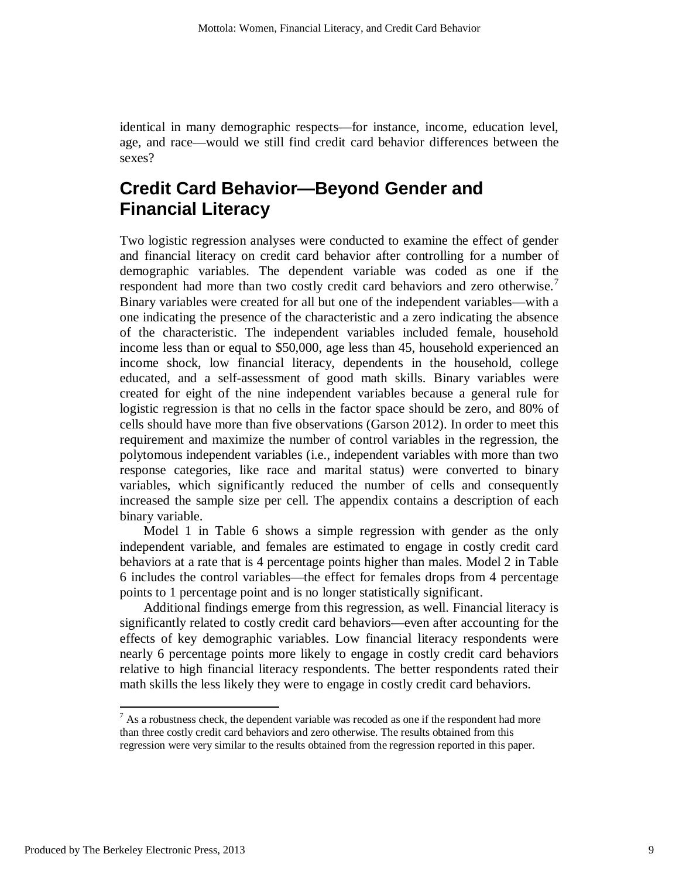identical in many demographic respects—for instance, income, education level, age, and race—would we still find credit card behavior differences between the sexes?

# **Credit Card Behavior—Beyond Gender and Financial Literacy**

Two logistic regression analyses were conducted to examine the effect of gender and financial literacy on credit card behavior after controlling for a number of demographic variables. The dependent variable was coded as one if the respondent had more than two costly credit card behaviors and zero otherwise.<sup>[7](#page-10-0)</sup> Binary variables were created for all but one of the independent variables—with a one indicating the presence of the characteristic and a zero indicating the absence of the characteristic. The independent variables included female, household income less than or equal to \$50,000, age less than 45, household experienced an income shock, low financial literacy, dependents in the household, college educated, and a self-assessment of good math skills. Binary variables were created for eight of the nine independent variables because a general rule for logistic regression is that no cells in the factor space should be zero, and 80% of cells should have more than five observations (Garson 2012). In order to meet this requirement and maximize the number of control variables in the regression, the polytomous independent variables (i.e., independent variables with more than two response categories, like race and marital status) were converted to binary variables, which significantly reduced the number of cells and consequently increased the sample size per cell. The appendix contains a description of each binary variable.

Model 1 in Table 6 shows a simple regression with gender as the only independent variable, and females are estimated to engage in costly credit card behaviors at a rate that is 4 percentage points higher than males. Model 2 in Table 6 includes the control variables—the effect for females drops from 4 percentage points to 1 percentage point and is no longer statistically significant.

Additional findings emerge from this regression, as well. Financial literacy is significantly related to costly credit card behaviors—even after accounting for the effects of key demographic variables. Low financial literacy respondents were nearly 6 percentage points more likely to engage in costly credit card behaviors relative to high financial literacy respondents. The better respondents rated their math skills the less likely they were to engage in costly credit card behaviors.

<span id="page-10-0"></span> $<sup>7</sup>$  As a robustness check, the dependent variable was recoded as one if the respondent had more</sup> than three costly credit card behaviors and zero otherwise. The results obtained from this regression were very similar to the results obtained from the regression reported in this paper.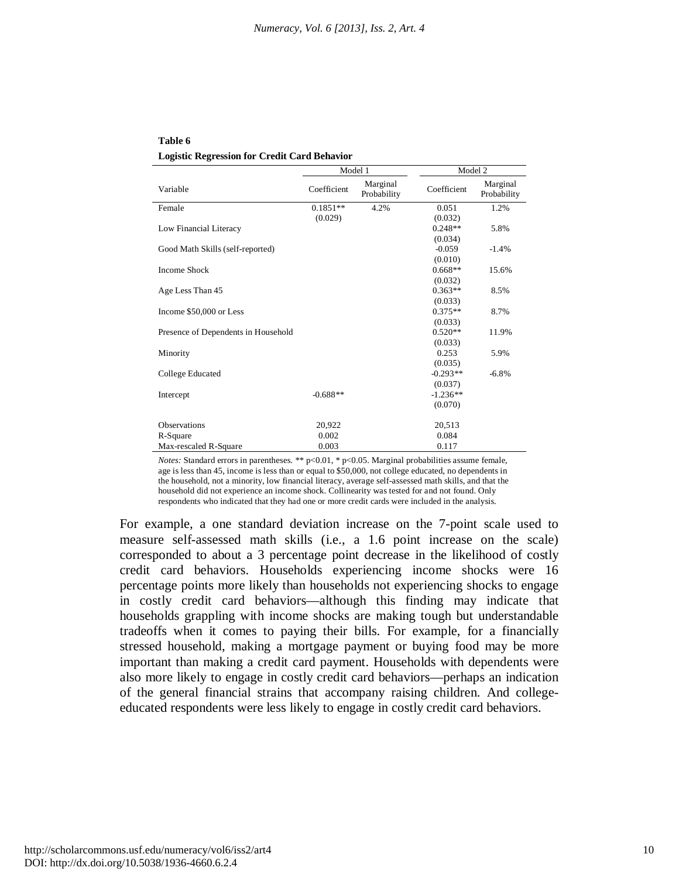**Table 6 Logistic Regression for Credit Card Behavior**

|                                     | Model 1     |                         | Model 2     |                         |
|-------------------------------------|-------------|-------------------------|-------------|-------------------------|
| Variable                            | Coefficient | Marginal<br>Probability | Coefficient | Marginal<br>Probability |
| Female                              | $0.1851**$  | 4.2%                    | 0.051       | 1.2%                    |
|                                     | (0.029)     |                         | (0.032)     |                         |
| Low Financial Literacy              |             |                         | $0.248**$   | 5.8%                    |
|                                     |             |                         | (0.034)     |                         |
| Good Math Skills (self-reported)    |             |                         | $-0.059$    | $-1.4%$                 |
|                                     |             |                         | (0.010)     |                         |
| <b>Income Shock</b>                 |             |                         | $0.668**$   | 15.6%                   |
|                                     |             |                         | (0.032)     |                         |
| Age Less Than 45                    |             |                         | $0.363**$   | 8.5%                    |
|                                     |             |                         | (0.033)     |                         |
| Income \$50,000 or Less             |             |                         | $0.375**$   | 8.7%                    |
|                                     |             |                         | (0.033)     |                         |
| Presence of Dependents in Household |             |                         | $0.520**$   | 11.9%                   |
|                                     |             |                         | (0.033)     |                         |
| Minority                            |             |                         | 0.253       | 5.9%                    |
|                                     |             |                         | (0.035)     |                         |
| College Educated                    |             |                         | $-0.293**$  | $-6.8%$                 |
|                                     |             |                         | (0.037)     |                         |
| Intercept                           | $-0.688**$  |                         | $-1.236**$  |                         |
|                                     |             |                         | (0.070)     |                         |
| <b>Observations</b>                 | 20,922      |                         | 20,513      |                         |
| R-Square                            | 0.002       |                         | 0.084       |                         |
| Max-rescaled R-Square               | 0.003       |                         | 0.117       |                         |

*Notes:* Standard errors in parentheses. \*\* p<0.01, \* p<0.05. Marginal probabilities assume female, age is less than 45, income is less than or equal to \$50,000, not college educated, no dependents in the household, not a minority, low financial literacy, average self-assessed math skills, and that the household did not experience an income shock. Collinearity was tested for and not found. Only respondents who indicated that they had one or more credit cards were included in the analysis.

For example, a one standard deviation increase on the 7-point scale used to measure self-assessed math skills (i.e., a 1.6 point increase on the scale) corresponded to about a 3 percentage point decrease in the likelihood of costly credit card behaviors. Households experiencing income shocks were 16 percentage points more likely than households not experiencing shocks to engage in costly credit card behaviors—although this finding may indicate that households grappling with income shocks are making tough but understandable tradeoffs when it comes to paying their bills. For example, for a financially stressed household, making a mortgage payment or buying food may be more important than making a credit card payment. Households with dependents were also more likely to engage in costly credit card behaviors—perhaps an indication of the general financial strains that accompany raising children. And collegeeducated respondents were less likely to engage in costly credit card behaviors.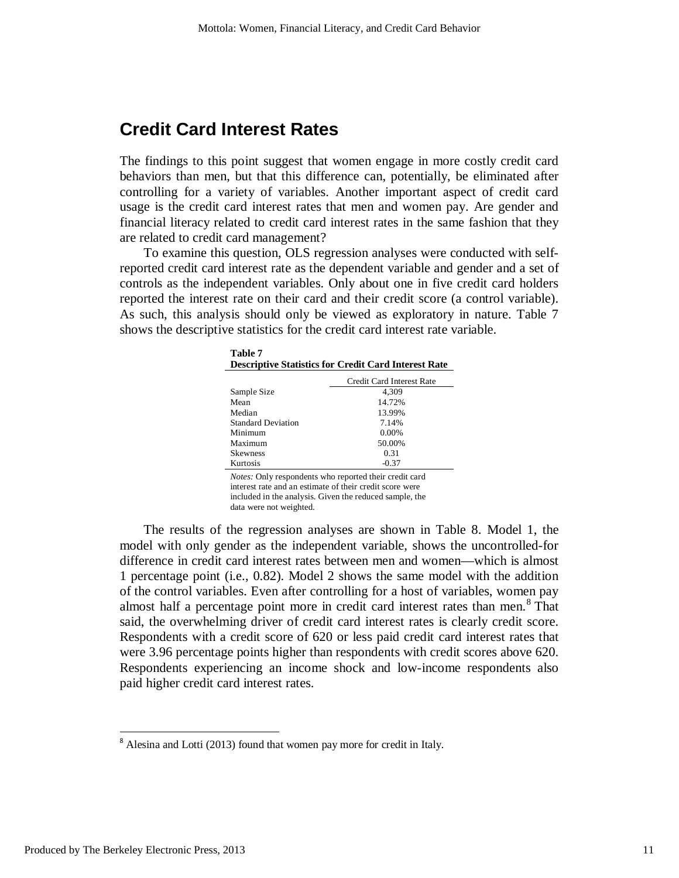### **Credit Card Interest Rates**

The findings to this point suggest that women engage in more costly credit card behaviors than men, but that this difference can, potentially, be eliminated after controlling for a variety of variables. Another important aspect of credit card usage is the credit card interest rates that men and women pay. Are gender and financial literacy related to credit card interest rates in the same fashion that they are related to credit card management?

To examine this question, OLS regression analyses were conducted with selfreported credit card interest rate as the dependent variable and gender and a set of controls as the independent variables. Only about one in five credit card holders reported the interest rate on their card and their credit score (a control variable). As such, this analysis should only be viewed as exploratory in nature. Table 7 shows the descriptive statistics for the credit card interest rate variable.

| Table 7<br><b>Descriptive Statistics for Credit Card Interest Rate</b> |                           |  |  |  |
|------------------------------------------------------------------------|---------------------------|--|--|--|
|                                                                        | Credit Card Interest Rate |  |  |  |
| Sample Size                                                            | 4.309                     |  |  |  |
| Mean                                                                   | 14.72%                    |  |  |  |
| Median                                                                 | 13.99%                    |  |  |  |
| <b>Standard Deviation</b>                                              | 7.14%                     |  |  |  |
| Minimum                                                                | $0.00\%$                  |  |  |  |
| Maximum                                                                | 50.00%                    |  |  |  |
| <b>Skewness</b>                                                        | 0.31                      |  |  |  |
| Kurtosis                                                               | -0.37                     |  |  |  |

*Notes:* Only respondents who reported their credit card interest rate and an estimate of their credit score were included in the analysis. Given the reduced sample, the data were not weighted.

The results of the regression analyses are shown in Table 8. Model 1, the model with only gender as the independent variable, shows the uncontrolled-for difference in credit card interest rates between men and women—which is almost 1 percentage point (i.e., 0.82). Model 2 shows the same model with the addition of the control variables. Even after controlling for a host of variables, women pay almost half a percentage point more in credit card interest rates than men. [8](#page-12-0) That said, the overwhelming driver of credit card interest rates is clearly credit score. Respondents with a credit score of 620 or less paid credit card interest rates that were 3.96 percentage points higher than respondents with credit scores above 620. Respondents experiencing an income shock and low-income respondents also paid higher credit card interest rates.

<span id="page-12-0"></span> <sup>8</sup> Alesina and Lotti (2013) found that women pay more for credit in Italy.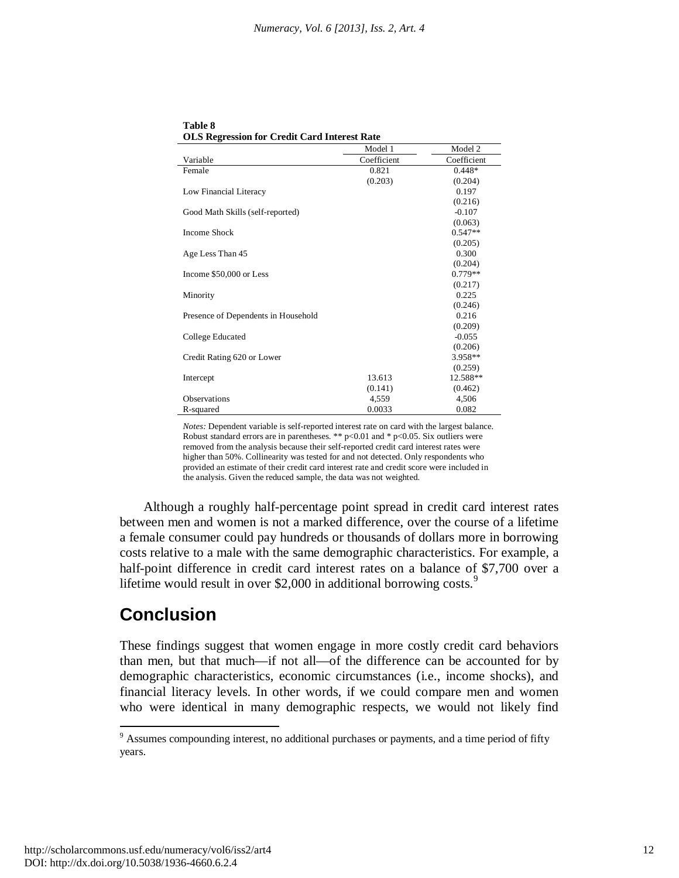|                                     | Model 1     | Model 2     |
|-------------------------------------|-------------|-------------|
| Variable                            | Coefficient | Coefficient |
| Female                              | 0.821       | $0.448*$    |
|                                     | (0.203)     | (0.204)     |
| Low Financial Literacy              |             | 0.197       |
|                                     |             | (0.216)     |
| Good Math Skills (self-reported)    |             | $-0.107$    |
|                                     |             | (0.063)     |
| <b>Income Shock</b>                 |             | $0.547**$   |
|                                     |             | (0.205)     |
| Age Less Than 45                    |             | 0.300       |
|                                     |             | (0.204)     |
| Income \$50,000 or Less             |             | $0.779**$   |
|                                     |             | (0.217)     |
| Minority                            |             | 0.225       |
|                                     |             | (0.246)     |
| Presence of Dependents in Household |             | 0.216       |
|                                     |             | (0.209)     |
| College Educated                    |             | $-0.055$    |
|                                     |             | (0.206)     |
| Credit Rating 620 or Lower          |             | 3.958**     |
|                                     |             | (0.259)     |
| Intercept                           | 13.613      | 12.588**    |
|                                     | (0.141)     | (0.462)     |
| <b>Observations</b>                 | 4,559       | 4,506       |
| R-squared                           | 0.0033      | 0.082       |

**Table 8 OLS Regression for Credit Card Interest Rate**

*Notes:* Dependent variable is self-reported interest rate on card with the largest balance. Robust standard errors are in parentheses. \*\*  $p<0.01$  and \*  $p<0.05$ . Six outliers were removed from the analysis because their self-reported credit card interest rates were higher than 50%. Collinearity was tested for and not detected. Only respondents who provided an estimate of their credit card interest rate and credit score were included in the analysis. Given the reduced sample, the data was not weighted.

Although a roughly half-percentage point spread in credit card interest rates between men and women is not a marked difference, over the course of a lifetime a female consumer could pay hundreds or thousands of dollars more in borrowing costs relative to a male with the same demographic characteristics. For example, a half-point difference in credit card interest rates on a balance of \$7,700 over a lifetime would result in over \$2,000 in additional borrowing costs.<sup>[9](#page-13-0)</sup>

## **Conclusion**

These findings suggest that women engage in more costly credit card behaviors than men, but that much—if not all—of the difference can be accounted for by demographic characteristics, economic circumstances (i.e., income shocks), and financial literacy levels. In other words, if we could compare men and women who were identical in many demographic respects, we would not likely find

<span id="page-13-0"></span><sup>9</sup> Assumes compounding interest, no additional purchases or payments, and a time period of fifty years.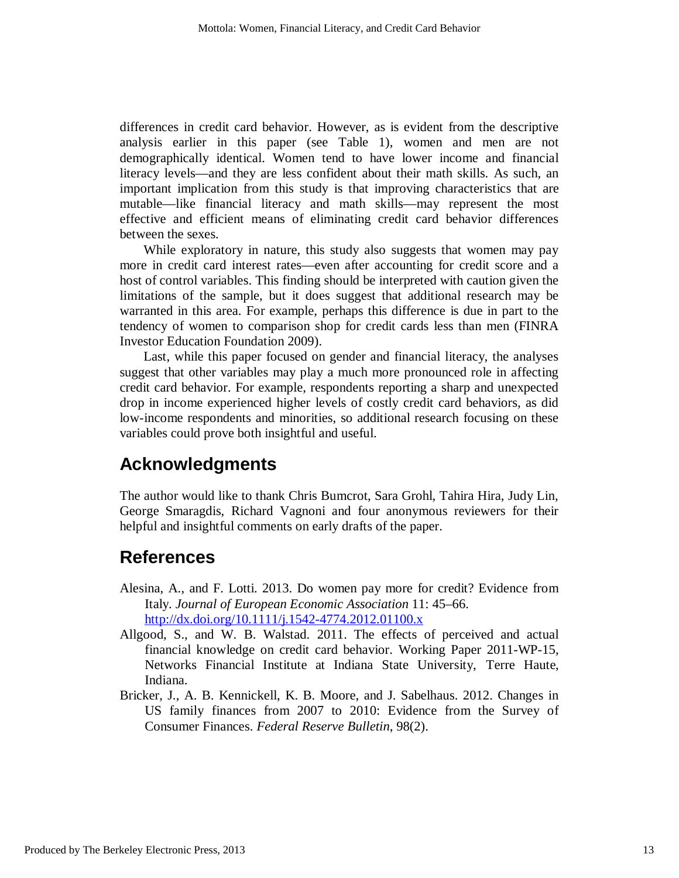differences in credit card behavior. However, as is evident from the descriptive analysis earlier in this paper (see Table 1), women and men are not demographically identical. Women tend to have lower income and financial literacy levels—and they are less confident about their math skills. As such, an important implication from this study is that improving characteristics that are mutable—like financial literacy and math skills—may represent the most effective and efficient means of eliminating credit card behavior differences between the sexes.

While exploratory in nature, this study also suggests that women may pay more in credit card interest rates—even after accounting for credit score and a host of control variables. This finding should be interpreted with caution given the limitations of the sample, but it does suggest that additional research may be warranted in this area. For example, perhaps this difference is due in part to the tendency of women to comparison shop for credit cards less than men (FINRA Investor Education Foundation 2009).

Last, while this paper focused on gender and financial literacy, the analyses suggest that other variables may play a much more pronounced role in affecting credit card behavior. For example, respondents reporting a sharp and unexpected drop in income experienced higher levels of costly credit card behaviors, as did low-income respondents and minorities, so additional research focusing on these variables could prove both insightful and useful.

## **Acknowledgments**

The author would like to thank Chris Bumcrot, Sara Grohl, Tahira Hira, Judy Lin, George Smaragdis, Richard Vagnoni and four anonymous reviewers for their helpful and insightful comments on early drafts of the paper.

### **References**

- Alesina, A., and F. Lotti. 2013. Do women pay more for credit? Evidence from Italy. *Journal of European Economic Association* 11: 45–66. <http://dx.doi.org/10.1111/j.1542-4774.2012.01100.x>
- Allgood, S., and W. B. Walstad. 2011. The effects of perceived and actual financial knowledge on credit card behavior. Working Paper 2011-WP-15, Networks Financial Institute at Indiana State University, Terre Haute, Indiana.
- Bricker, J., A. B. Kennickell, K. B. Moore, and J. Sabelhaus. 2012. Changes in US family finances from 2007 to 2010: Evidence from the Survey of Consumer Finances. *Federal Reserve Bulletin*, 98(2).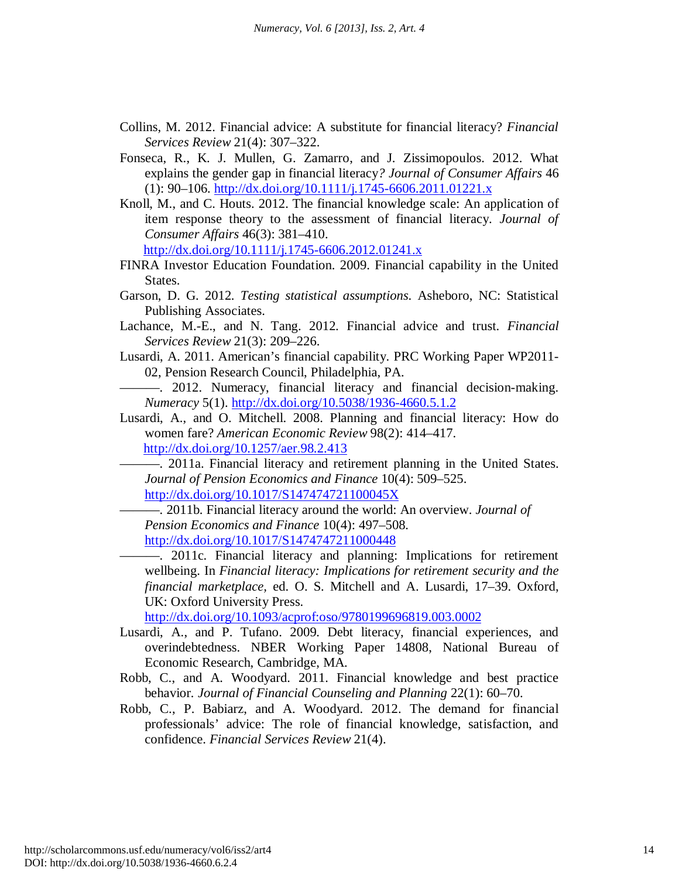- Collins, M. 2012. Financial advice: A substitute for financial literacy? *Financial Services Review* 21(4): 307–322.
- Fonseca, R., K. J. Mullen, G. Zamarro, and J. Zissimopoulos. 2012. What explains the gender gap in financial literacy*? Journal of Consumer Affairs* 46  $(1): 90-106.$  <http://dx.doi.org/10.1111/j.1745-6606.2011.01221.x>
- Knoll, M., and C. Houts. 2012. The financial knowledge scale: An application of item response theory to the assessment of financial literacy. *Journal of Consumer Affairs* 46(3): 381–410.

<http://dx.doi.org/10.1111/j.1745-6606.2012.01241.x>

- FINRA Investor Education Foundation. 2009. Financial capability in the United States.
- Garson, D. G. 2012. *Testing statistical assumptions*. Asheboro, NC: Statistical Publishing Associates.
- Lachance, M.-E., and N. Tang. 2012. Financial advice and trust. *Financial Services Review* 21(3): 209–226.
- Lusardi, A. 2011. American's financial capability. PRC Working Paper WP2011- 02, Pension Research Council, Philadelphia, PA.
- ———. 2012. Numeracy, financial literacy and financial decision-making. *Numeracy* 5(1). <http://dx.doi.org/10.5038/1936-4660.5.1.2>
- Lusardi, A., and O. Mitchell. 2008. Planning and financial literacy: How do women fare? *American Economic Review* 98(2): 414–417. <http://dx.doi.org/10.1257/aer.98.2.413>

———. 2011a. Financial literacy and retirement planning in the United States. *Journal of Pension Economics and Finance* 10(4): 509–525. <http://dx.doi.org/10.1017/S147474721100045X>

———. 2011b. Financial literacy around the world: An overview. *Journal of Pension Economics and Finance* 10(4): 497–508.

<http://dx.doi.org/10.1017/S1474747211000448>

———. 2011c. Financial literacy and planning: Implications for retirement wellbeing. In *Financial literacy: Implications for retirement security and the financial marketplace,* ed. O. S. Mitchell and A. Lusardi, 17–39. Oxford, UK: Oxford University Press.

<http://dx.doi.org/10.1093/acprof:oso/9780199696819.003.0002>

- Lusardi, A., and P. Tufano. 2009. Debt literacy, financial experiences, and overindebtedness. NBER Working Paper 14808, National Bureau of Economic Research, Cambridge, MA.
- Robb, C., and A. Woodyard. 2011. Financial knowledge and best practice behavior*. Journal of Financial Counseling and Planning* 22(1): 60–70.
- Robb, C., P. Babiarz, and A. Woodyard. 2012. The demand for financial professionals' advice: The role of financial knowledge, satisfaction, and confidence. *Financial Services Review* 21(4).